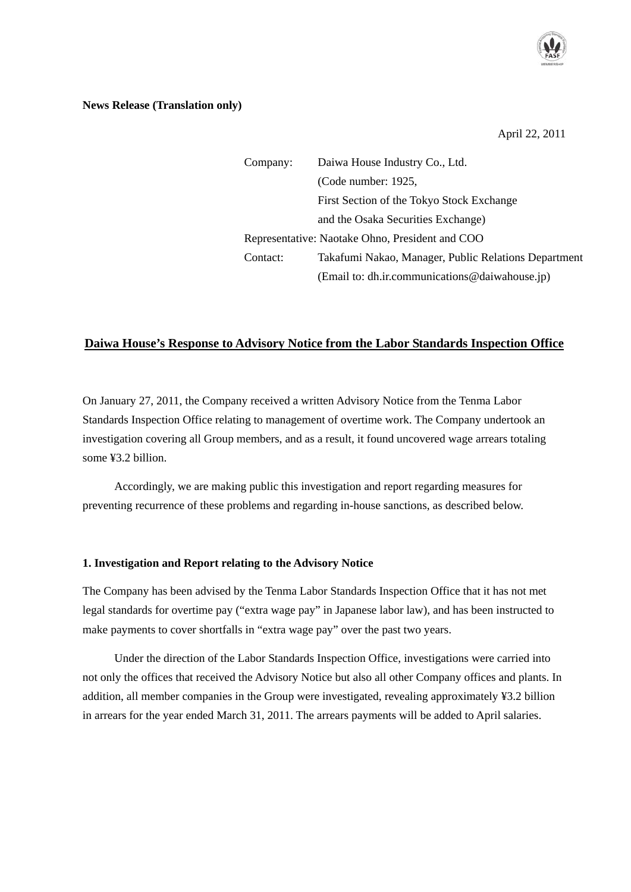

#### **News Release (Translation only)**

April 22, 2011

| Company:                                        | Daiwa House Industry Co., Ltd.                       |
|-------------------------------------------------|------------------------------------------------------|
|                                                 | (Code number: 1925,                                  |
|                                                 | First Section of the Tokyo Stock Exchange            |
|                                                 | and the Osaka Securities Exchange)                   |
| Representative: Naotake Ohno, President and COO |                                                      |
| Contact:                                        | Takafumi Nakao, Manager, Public Relations Department |
|                                                 | (Email to: dh.ir.communications@daiwahouse.jp)       |

# **Daiwa House's Response to Advisory Notice from the Labor Standards Inspection Office**

On January 27, 2011, the Company received a written Advisory Notice from the Tenma Labor Standards Inspection Office relating to management of overtime work. The Company undertook an investigation covering all Group members, and as a result, it found uncovered wage arrears totaling some ¥3.2 billion.

 Accordingly, we are making public this investigation and report regarding measures for preventing recurrence of these problems and regarding in-house sanctions, as described below.

#### **1. Investigation and Report relating to the Advisory Notice**

The Company has been advised by the Tenma Labor Standards Inspection Office that it has not met legal standards for overtime pay ("extra wage pay" in Japanese labor law), and has been instructed to make payments to cover shortfalls in "extra wage pay" over the past two years.

 Under the direction of the Labor Standards Inspection Office, investigations were carried into not only the offices that received the Advisory Notice but also all other Company offices and plants. In addition, all member companies in the Group were investigated, revealing approximately ¥3.2 billion in arrears for the year ended March 31, 2011. The arrears payments will be added to April salaries.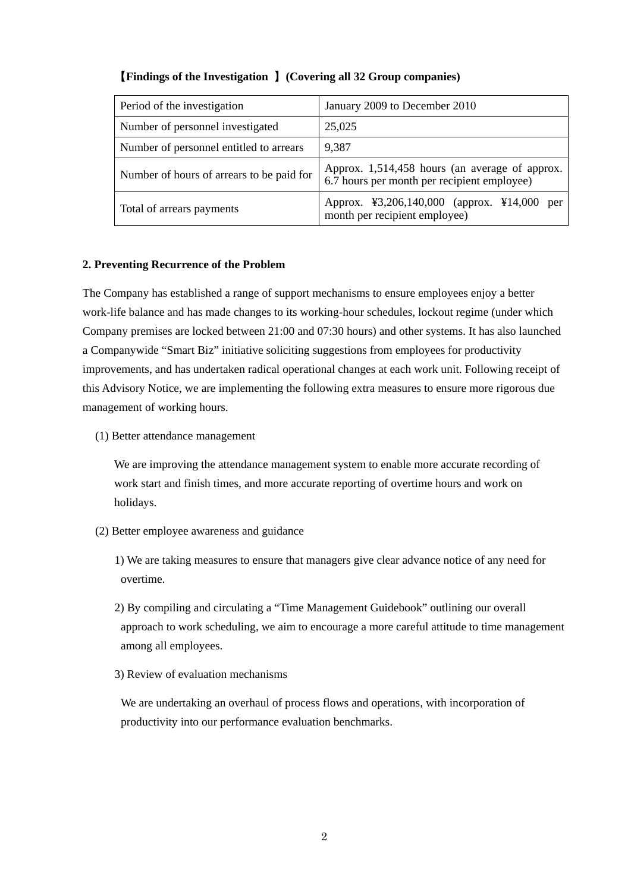| Period of the investigation               | January 2009 to December 2010                                                                 |
|-------------------------------------------|-----------------------------------------------------------------------------------------------|
| Number of personnel investigated          | 25,025                                                                                        |
| Number of personnel entitled to arrears   | 9,387                                                                                         |
| Number of hours of arrears to be paid for | Approx. 1,514,458 hours (an average of approx.<br>6.7 hours per month per recipient employee) |
| Total of arrears payments                 | Approx. ¥3,206,140,000 (approx. ¥14,000 per<br>month per recipient employee)                  |

# 【**Findings of the Investigation** 】**(Covering all 32 Group companies)**

### **2. Preventing Recurrence of the Problem**

The Company has established a range of support mechanisms to ensure employees enjoy a better work-life balance and has made changes to its working-hour schedules, lockout regime (under which Company premises are locked between 21:00 and 07:30 hours) and other systems. It has also launched a Companywide "Smart Biz" initiative soliciting suggestions from employees for productivity improvements, and has undertaken radical operational changes at each work unit. Following receipt of this Advisory Notice, we are implementing the following extra measures to ensure more rigorous due management of working hours.

(1) Better attendance management

 We are improving the attendance management system to enable more accurate recording of work start and finish times, and more accurate reporting of overtime hours and work on holidays.

- (2) Better employee awareness and guidance
	- 1) We are taking measures to ensure that managers give clear advance notice of any need for overtime.
	- 2) By compiling and circulating a "Time Management Guidebook" outlining our overall approach to work scheduling, we aim to encourage a more careful attitude to time management among all employees.
	- 3) Review of evaluation mechanisms

 We are undertaking an overhaul of process flows and operations, with incorporation of productivity into our performance evaluation benchmarks.